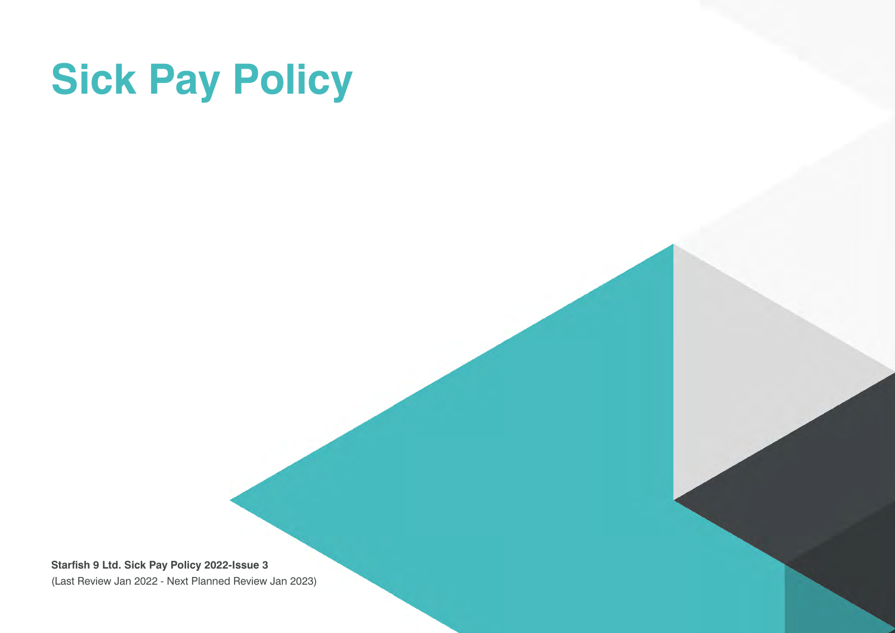# **Sick Pay Policy**

**Starfish 9 Ltd. Sick Pay Policy 2022-Issue 3** (Last Review Jan 2022 - Next Planned Review Jan 2023)